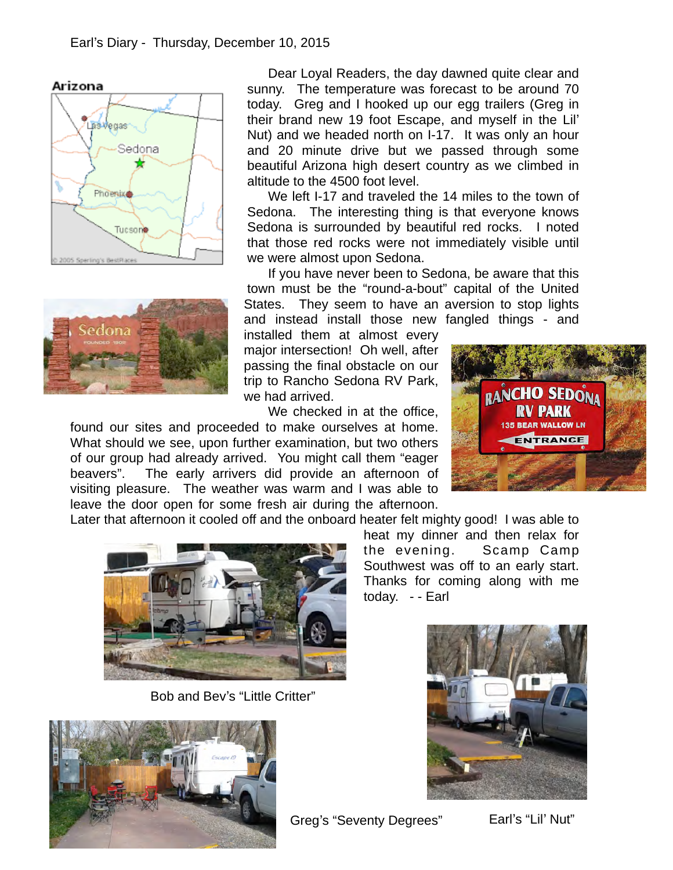



Dear Loyal Readers, the day dawned quite clear and sunny. The temperature was forecast to be around 70 today. Greg and I hooked up our egg trailers (Greg in their brand new 19 foot Escape, and myself in the Lil' Nut) and we headed north on I-17. It was only an hour and 20 minute drive but we passed through some beautiful Arizona high desert country as we climbed in altitude to the 4500 foot level.

We left I-17 and traveled the 14 miles to the town of Sedona. The interesting thing is that everyone knows Sedona is surrounded by beautiful red rocks. I noted that those red rocks were not immediately visible until we were almost upon Sedona.

If you have never been to Sedona, be aware that this town must be the "round-a-bout" capital of the United States. They seem to have an aversion to stop lights and instead install those new fangled things - and

today. - - Earl

installed them at almost every major intersection! Oh well, after passing the final obstacle on our trip to Rancho Sedona RV Park, we had arrived.

We checked in at the office.

found our sites and proceeded to make ourselves at home. What should we see, upon further examination, but two others of our group had already arrived. You might call them "eager beavers". The early arrivers did provide an afternoon of visiting pleasure. The weather was warm and I was able to leave the door open for some fresh air during the afternoon.



Later that afternoon it cooled off and the onboard heater felt mighty good! I was able to



Bob and Bev's "Little Critter"



heat my dinner and then relax for the evening. Scamp Camp Southwest was off to an early start. Thanks for coming along with me



Greg's "Seventy Degrees"

Earl's "Lil' Nut"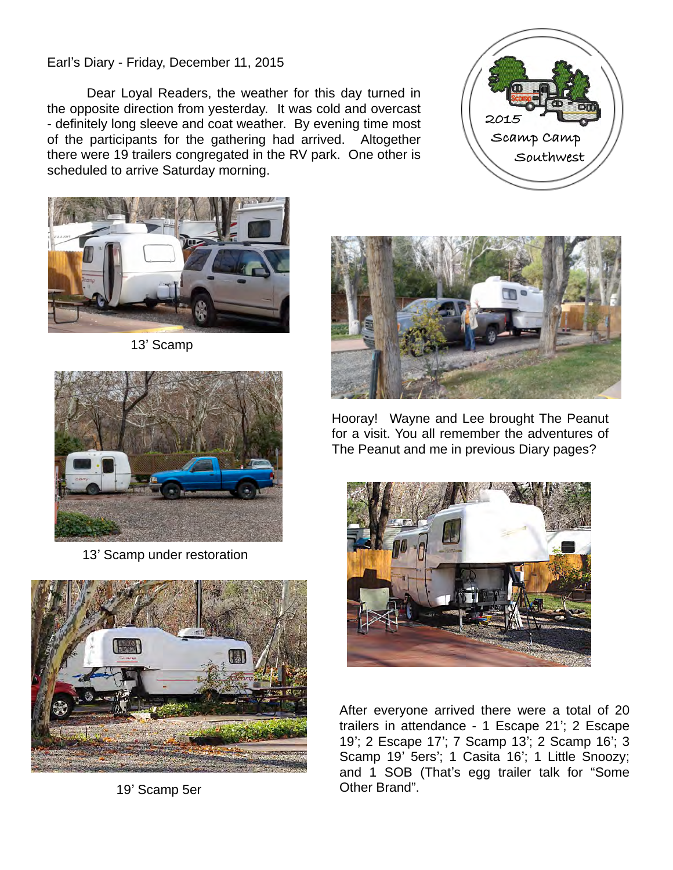## Earl's Diary - Friday, December 11, 2015

Dear Loyal Readers, the weather for this day turned in the opposite direction from yesterday. It was cold and overcast - definitely long sleeve and coat weather. By evening time most of the participants for the gathering had arrived. Altogether there were 19 trailers congregated in the RV park. One other is scheduled to arrive Saturday morning.



13' Scamp



13' Scamp under restoration



19' Scamp 5er





Hooray! Wayne and Lee brought The Peanut for a visit. You all remember the adventures of The Peanut and me in previous Diary pages?



After everyone arrived there were a total of 20 trailers in attendance - 1 Escape 21'; 2 Escape 19'; 2 Escape 17'; 7 Scamp 13'; 2 Scamp 16'; 3 Scamp 19' 5ers'; 1 Casita 16'; 1 Little Snoozy; and 1 SOB (That's egg trailer talk for "Some Other Brand".